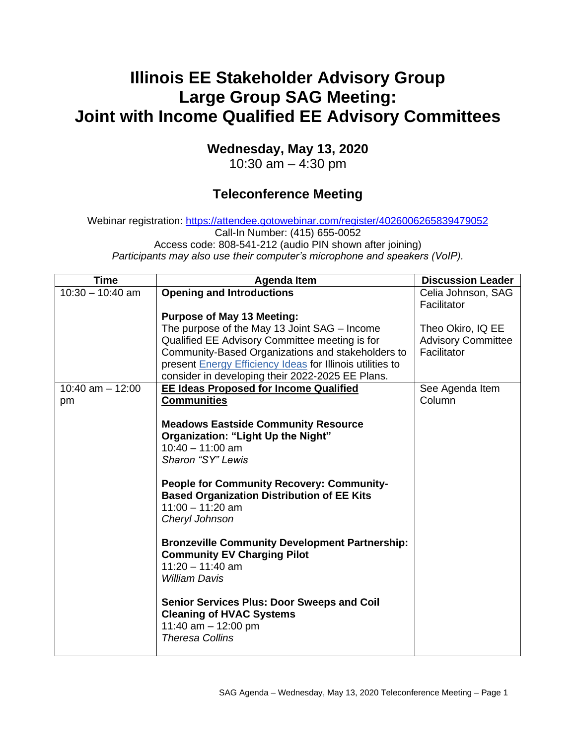## **Illinois EE Stakeholder Advisory Group Large Group SAG Meeting: Joint with Income Qualified EE Advisory Committees**

## **Wednesday, May 13, 2020**

10:30 am – 4:30 pm

## **Teleconference Meeting**

Webinar registration: <https://attendee.gotowebinar.com/register/4026006265839479052> Call-In Number: (415) 655-0052 Access code: 808-541-212 (audio PIN shown after joining) *Participants may also use their computer's microphone and speakers (VoIP).*

| <b>Time</b>        | <b>Agenda Item</b>                                                                                                                                                                                                                                                                                                                                                                                                                                                                                                | <b>Discussion Leader</b>  |
|--------------------|-------------------------------------------------------------------------------------------------------------------------------------------------------------------------------------------------------------------------------------------------------------------------------------------------------------------------------------------------------------------------------------------------------------------------------------------------------------------------------------------------------------------|---------------------------|
| $10:30 - 10:40$ am | <b>Opening and Introductions</b>                                                                                                                                                                                                                                                                                                                                                                                                                                                                                  | Celia Johnson, SAG        |
|                    |                                                                                                                                                                                                                                                                                                                                                                                                                                                                                                                   | Facilitator               |
|                    | <b>Purpose of May 13 Meeting:</b>                                                                                                                                                                                                                                                                                                                                                                                                                                                                                 |                           |
|                    | The purpose of the May 13 Joint SAG – Income                                                                                                                                                                                                                                                                                                                                                                                                                                                                      | Theo Okiro, IQ EE         |
|                    | Qualified EE Advisory Committee meeting is for                                                                                                                                                                                                                                                                                                                                                                                                                                                                    | <b>Advisory Committee</b> |
|                    | Community-Based Organizations and stakeholders to                                                                                                                                                                                                                                                                                                                                                                                                                                                                 | Facilitator               |
|                    | present Energy Efficiency Ideas for Illinois utilities to                                                                                                                                                                                                                                                                                                                                                                                                                                                         |                           |
|                    | consider in developing their 2022-2025 EE Plans.                                                                                                                                                                                                                                                                                                                                                                                                                                                                  |                           |
| 10:40 am $-$ 12:00 | <b>EE Ideas Proposed for Income Qualified</b>                                                                                                                                                                                                                                                                                                                                                                                                                                                                     | See Agenda Item           |
| pm                 | <b>Communities</b>                                                                                                                                                                                                                                                                                                                                                                                                                                                                                                | Column                    |
|                    | <b>Meadows Eastside Community Resource</b><br>Organization: "Light Up the Night"<br>$10:40 - 11:00$ am<br>Sharon "SY" Lewis<br><b>People for Community Recovery: Community-</b><br><b>Based Organization Distribution of EE Kits</b><br>$11:00 - 11:20$ am<br>Cheryl Johnson<br><b>Bronzeville Community Development Partnership:</b><br><b>Community EV Charging Pilot</b><br>$11:20 - 11:40$ am<br><i>William Davis</i><br><b>Senior Services Plus: Door Sweeps and Coil</b><br><b>Cleaning of HVAC Systems</b> |                           |
|                    | 11:40 am $-$ 12:00 pm<br><b>Theresa Collins</b>                                                                                                                                                                                                                                                                                                                                                                                                                                                                   |                           |
|                    |                                                                                                                                                                                                                                                                                                                                                                                                                                                                                                                   |                           |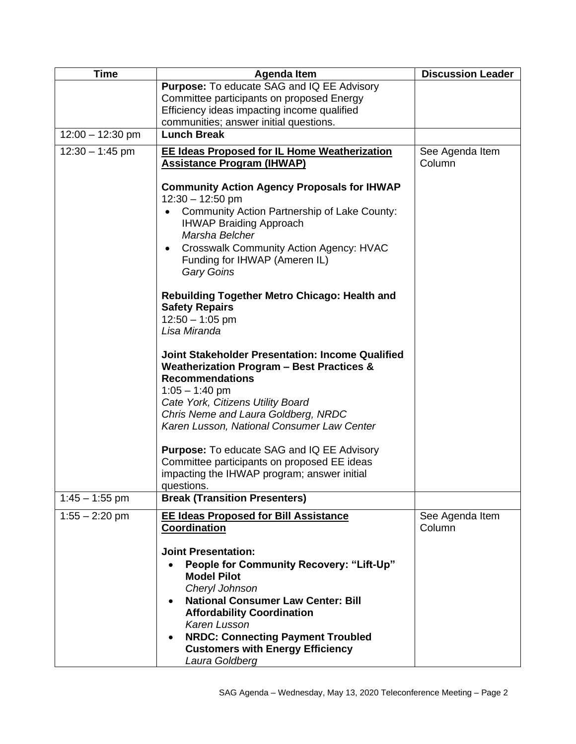| <b>Time</b>        | <b>Agenda Item</b>                                                                                                                                                                                                                                                                                                                            | <b>Discussion Leader</b>  |
|--------------------|-----------------------------------------------------------------------------------------------------------------------------------------------------------------------------------------------------------------------------------------------------------------------------------------------------------------------------------------------|---------------------------|
|                    | Purpose: To educate SAG and IQ EE Advisory                                                                                                                                                                                                                                                                                                    |                           |
|                    | Committee participants on proposed Energy<br>Efficiency ideas impacting income qualified                                                                                                                                                                                                                                                      |                           |
|                    | communities; answer initial questions.                                                                                                                                                                                                                                                                                                        |                           |
| $12:00 - 12:30$ pm | <b>Lunch Break</b>                                                                                                                                                                                                                                                                                                                            |                           |
| $12:30 - 1:45$ pm  | <b>EE Ideas Proposed for IL Home Weatherization</b><br><b>Assistance Program (IHWAP)</b>                                                                                                                                                                                                                                                      | See Agenda Item<br>Column |
|                    | <b>Community Action Agency Proposals for IHWAP</b><br>$12:30 - 12:50$ pm<br>Community Action Partnership of Lake County:<br>$\bullet$<br><b>IHWAP Braiding Approach</b><br>Marsha Belcher<br><b>Crosswalk Community Action Agency: HVAC</b><br>$\bullet$<br>Funding for IHWAP (Ameren IL)<br><b>Gary Goins</b>                                |                           |
|                    | Rebuilding Together Metro Chicago: Health and<br><b>Safety Repairs</b><br>$12:50 - 1:05$ pm<br>Lisa Miranda                                                                                                                                                                                                                                   |                           |
|                    | <b>Joint Stakeholder Presentation: Income Qualified</b><br>Weatherization Program - Best Practices &<br><b>Recommendations</b><br>$1:05 - 1:40$ pm<br>Cate York, Citizens Utility Board<br>Chris Neme and Laura Goldberg, NRDC<br>Karen Lusson, National Consumer Law Center                                                                  |                           |
|                    | <b>Purpose:</b> To educate SAG and IQ EE Advisory<br>Committee participants on proposed EE ideas<br>impacting the IHWAP program; answer initial<br>questions.                                                                                                                                                                                 |                           |
| $1:45 - 1:55$ pm   | <b>Break (Transition Presenters)</b>                                                                                                                                                                                                                                                                                                          |                           |
| $1:55 - 2:20$ pm   | <b>EE Ideas Proposed for Bill Assistance</b><br>Coordination                                                                                                                                                                                                                                                                                  | See Agenda Item<br>Column |
|                    | <b>Joint Presentation:</b><br><b>People for Community Recovery: "Lift-Up"</b><br><b>Model Pilot</b><br>Cheryl Johnson<br><b>National Consumer Law Center: Bill</b><br><b>Affordability Coordination</b><br>Karen Lusson<br><b>NRDC: Connecting Payment Troubled</b><br>$\bullet$<br><b>Customers with Energy Efficiency</b><br>Laura Goldberg |                           |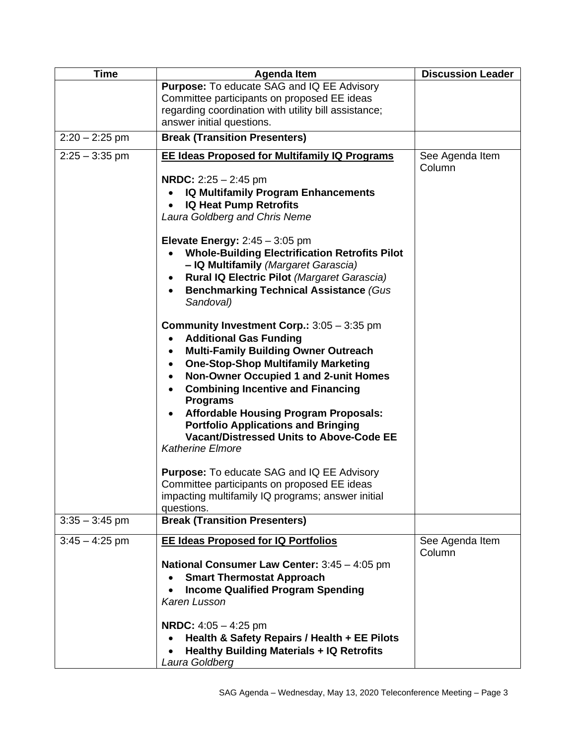| <b>Time</b>      | <b>Agenda Item</b>                                                                                                                                                                                                                                                                                                                                                                                                                                                        | <b>Discussion Leader</b>  |
|------------------|---------------------------------------------------------------------------------------------------------------------------------------------------------------------------------------------------------------------------------------------------------------------------------------------------------------------------------------------------------------------------------------------------------------------------------------------------------------------------|---------------------------|
|                  | <b>Purpose:</b> To educate SAG and IQ EE Advisory<br>Committee participants on proposed EE ideas<br>regarding coordination with utility bill assistance;<br>answer initial questions.                                                                                                                                                                                                                                                                                     |                           |
| $2:20 - 2:25$ pm | <b>Break (Transition Presenters)</b>                                                                                                                                                                                                                                                                                                                                                                                                                                      |                           |
| $2:25 - 3:35$ pm | <b>EE Ideas Proposed for Multifamily IQ Programs</b>                                                                                                                                                                                                                                                                                                                                                                                                                      | See Agenda Item<br>Column |
|                  | <b>NRDC:</b> $2:25 - 2:45$ pm<br><b>IQ Multifamily Program Enhancements</b><br><b>IQ Heat Pump Retrofits</b><br>$\bullet$<br>Laura Goldberg and Chris Neme                                                                                                                                                                                                                                                                                                                |                           |
|                  | Elevate Energy: $2:45 - 3:05$ pm<br><b>Whole-Building Electrification Retrofits Pilot</b><br>- IQ Multifamily (Margaret Garascia)<br><b>Rural IQ Electric Pilot (Margaret Garascia)</b><br>$\bullet$<br><b>Benchmarking Technical Assistance (Gus)</b><br>$\bullet$<br>Sandoval)                                                                                                                                                                                          |                           |
|                  | Community Investment Corp.: 3:05 - 3:35 pm<br><b>Additional Gas Funding</b><br><b>Multi-Family Building Owner Outreach</b><br><b>One-Stop-Shop Multifamily Marketing</b><br>$\bullet$<br>Non-Owner Occupied 1 and 2-unit Homes<br><b>Combining Incentive and Financing</b><br><b>Programs</b><br><b>Affordable Housing Program Proposals:</b><br><b>Portfolio Applications and Bringing</b><br><b>Vacant/Distressed Units to Above-Code EE</b><br><b>Katherine Elmore</b> |                           |
|                  | <b>Purpose:</b> To educate SAG and IQ EE Advisory<br>Committee participants on proposed EE ideas<br>impacting multifamily IQ programs; answer initial<br>questions.                                                                                                                                                                                                                                                                                                       |                           |
| $3:35 - 3:45$ pm | <b>Break (Transition Presenters)</b>                                                                                                                                                                                                                                                                                                                                                                                                                                      |                           |
| $3:45 - 4:25$ pm | <b>EE Ideas Proposed for IQ Portfolios</b><br>National Consumer Law Center: 3:45 - 4:05 pm<br><b>Smart Thermostat Approach</b><br><b>Income Qualified Program Spending</b><br>Karen Lusson                                                                                                                                                                                                                                                                                | See Agenda Item<br>Column |
|                  | <b>NRDC:</b> $4:05 - 4:25$ pm<br>Health & Safety Repairs / Health + EE Pilots<br><b>Healthy Building Materials + IQ Retrofits</b><br>Laura Goldberg                                                                                                                                                                                                                                                                                                                       |                           |